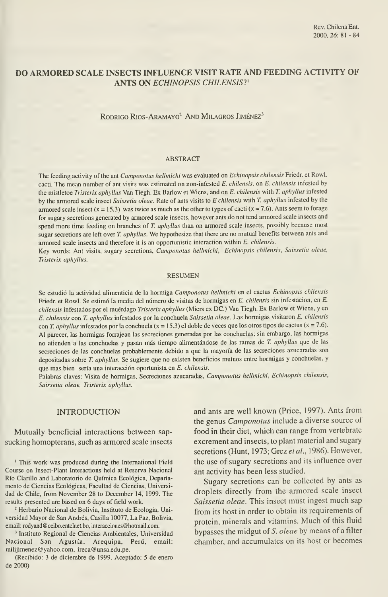# DO ARMORED SCALE INSECTS INFLUENCE VISIT RATE AND FEEDING ACTIVITY OF ANTS ON ECHINOPSIS CHILENSIS?<sup>1</sup>

RODRIGO RIOS-ARAMAYO<sup>2</sup> AND MILAGROS JIMÉNEZ<sup>3</sup>

#### ABSTRACT

The feeding activity of the ant Camponotus hellmichi was evaluated on Echinopsis chilensis Friedr. et Rowl. cacti. The mean number of ant visits was estimated on non-infested E. chilensis, on E. chilensis infested by the mistletoe Tristerix aphyllus Van Tiegh. Ex Barlow et Wiens, and on E. chilensis with T. aphyílus infested by the armored scale insect Saissetia oleae. Rate of ants visits to E chilensis with T. aphyllus infested by the armored scale insect (x = 15.3) was twice as much as the other to types of cacti (x = 7.6). Ants seem to forage for sugary secretions generated by armored scale insects, however ants do not tend armored scale insects and spend more time feeding on branches of T. aphyllus than on armored scale insects, possibly because most sugar secretions are left over T. aphyllus. We hypothesize that there are no mutual benefits between ants and armored scale insects and therefore it is an opportunistic interaction within E. chilensis.

Key words: Ant visits, sugary secretions, Camponotus hellmichi, Echinopsis chilensis, Saissetia oleae, Tristerix aphyllus.

#### RESUMEN

Se estudió la actividad alimenticia de la hormiga Camponotus hellmichi en el cactus Echinopsis chilensis Friedr. et Rowl. Se estimó la media del número de visitas de hormigas en E. chilensis sin infestación, en E. chilensis infestados por el muérdago Tristerix aphyllus (Miers ex DC.) Van Tiegh. Ex Barlow et Wiens, y en E. chilensis con T. aphyllus infestados por la conchuela Saissetia oleae. Las hormigas visitaron E. chilensis con T. aphyllus infestados por la conchuela ( $x = 15.3$ ) el doble de veces que los otros tipos de cactus ( $x = 7.6$ ). Al parecer, las hormigas forrajean las secreciones generadas por las conchuelas; sin embargo, las hormigas no atienden <sup>a</sup> las conchuelas <sup>y</sup> pasan más tiempo alimentándose de las ramas de T. aphyllus que de las secreciones de las conchuelas probablemente debido a que la mayoría de las secreciones azucaradas son depositadas sobre T. aphyllus. Se sugiere que no existen beneficios mutuos entre hormigas y conchuelas, y que mas bien sería una interacción oportunista en E. chilensis.

Palabras claves: Visita de hormigas, Secreciones azucaradas, Camponotus hellmichi, Echinopsis chilensis, Saissetia oleae, Tristerix aphyllus.

### INTRODUCTION

Mutually beneficial interactions between sap sucking homopterans, such as armored scale insects

' This work was produced during the International Field Course on Insect-Plant Interactions held at Reserva Nacional Río Clarillo and Laboratorio de Química Ecológica, Departa mento de Ciencias Ecológicas, Facultad de Ciencias, Universi dad de Chile, from November 28 to December 14, 1999. The results presented are based on 6 days of field work.

<sup>2</sup> Herbario Nacional de Bolivia, Instituto de Ecología, Universidad Mayor de San Andrés, Casilla 10077, La Paz, Bolivia, email: rodyand@ceibo.entelnet.bo, interacciones@hotmail.com.

' Instituto Regional de Ciencias Ambientales, Universidad Nacional San Agustín, Arequipa, Perú, email: milijimenez@yahoo.com, ireca@unsa.edu.pe.

(Recibido: 3 de diciembre de 1999. Aceptado: 5 de enero de 2000)

and ants are well known (Price, 1997). Ants from the genus Camponotus include a diverse source of food in their diet, which can range from vertébrate excrement and insects, to plant material and sugary secretions (Hunt, 1973; Grez et al., 1986). However, the use of sugary secretions and its influence over ant activity has been less studied.

Sugary secretions can be collected by ants as droplets directly from the armored scale insect Saissetia oleae. This insect must ingest much sap from its host in order to obtain its requirements of protein, minerals and vitamins. Much of this fluid bypasses the midgut of 5. oleae by means of a filter chamber, and accumulates on its host or becomes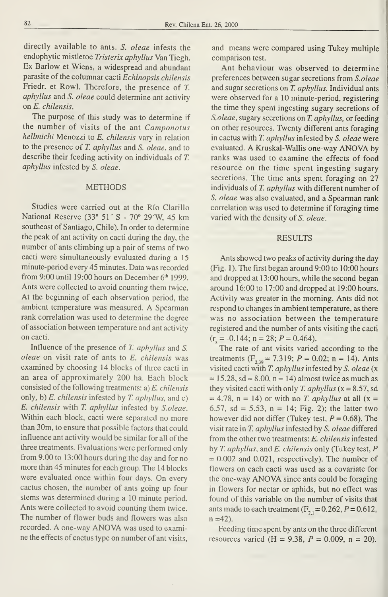directly available to ants. S. oleae infests the endophytic mistletoe Tristerix aphyllus Van Tiegh. Ex Barlow et Wiens, <sup>a</sup> widespread and abundant parasite of the columnar cacti Echinopsis chilensis Friedr. et Rowl. Therefore, the presence of T. aphyllus and S. oleae could determine ant activity on E. chilensis.

The purpose of this study was to determine if the number of visits of the ant Camponotus hellmichi Menozzi to E. chilensis vary in relation to the presence of T. aphyllus and S. oleae, and to describe their feeding activity on individuals of T. aphyllus infested by S. oleae.

#### METHODS

Studies were carried out at the Río Clarillo National Reserve (33° 51' S - 70° 29'W, 45 km southeast of Santiago, Chile). In order to determine the peak of ant activity on cacti during the day, the number of ants climbing up a pair of stems of two cacti were simultaneously evaluated during a 15 minute-period every 45 minutes. Data was recorded from 9:00 until 19:00 hours on December  $6<sup>th</sup>$  1999. Ants were collected to avoid counting them twice. At the beginning of each observation period, the ambient temperature was measured. A Spearman rank correlation was used to determine the degree of association between temperature and ant activity on cacti.

Influence of the presence of T. aphyllus and S. oleae on visit rate of ants to E. chilensis was examined by choosing 14 blocks of three cacti in an área of approximately 200 ha. Each block consisted of the following treatments:  $a) E.$  chilensis only, b)  $E$ . *chilensis* infested by  $T$ . *aphyllus*, and  $c$ ) E. chilensis with T. aphyllus infested by S. oleae. Within each block, cacti were separated no more than 30m, to ensure that possible factors that could influence ant activity would be similar for all of the three treatments. Evaluations were performed only from 9.00 to 13:00 hours during the day and for no more than 45 minutes for each group. The 14 blocks were evaluated once within four days. On every cactus chosen, the number of ants going up four stems was determined during a 10 minute period. Ants were collected to avoid counting them twice. The number of flower buds and flowers was also recorded. A one-way ANOVA was used to examine the effects of cactus type on number of ant visits,

and means were compared using Tukey multiple comparison test.

Ant behaviour was observed to determine preferences between sugar secretions from S.oleae and sugar secretions on T. aphyllus. Individual ants were observed for a 10 minute-period, registering the time they spent ingesting sugary secretions of S. oleae, sugary secretions on T. aphyllus, or feeding on other resources. Twenty different ants foraging in cactus with T. aphyllus infested by S. oleae were evaluated. A Kruskal-Wallis one-way ANOVA by ranks was used to examine the effects of food resource on the time spent ingesting sugary secretions. The time ants spent foraging on 27 individuals of T. aphyllus with different number of S. oleae was also evaluated, and a Spearman rank correlation was used to determine if foraging time varied with the density of S. oleae.

### RESULTS

Ants showed two peaks of activity during the day (Fig. 1). The first began around 9:00 to 10:00 hours and dropped at <sup>1</sup>3:00 hours, while the second began around 16:00 to 17:00 and dropped at 19:00 hours. Activity was greater in the morning. Ants did noí respond to changes in ambient temperature, as there was no association between the temperature registered and the number of ants visiting the cacti  $(r<sub>1</sub> = -0.144; n = 28; P = 0.464).$ 

The rate of ant visits varied according to the treatments ( $F_{2,30}$  = 7.319; P = 0.02; n = 14). Ants visited cacti with T. aphyllus infested by S. oleae (x  $= 15.28$ , sd = 8.00, n = 14) almost twice as much as they visited cacti with only T. aphyllus  $(x = 8.57, sd$  $= 4.78$ , n = 14) or with no *T. aphyllus* at all (x = 6.57, sd = 5.53,  $n = 14$ ; Fig. 2); the latter two however did not differ (Tukey test,  $P = 0.68$ ). The visit rate in T. aphyllus infested by S. oleae differed from the other two treatments: E. chilensis infested by T. aphyllus, and E. chilensis only (Tukey test, P  $= 0.002$  and 0.021, respectively). The number of flowers on each cacti was used as a covariate for the one-way ANOVA since ants could be foraging in flowers for nectar or aphids, but no effect was found of this variable on the number of visits that ants made to each treatment  $(F_{2,1} = 0.262, P = 0.612,$  $n = 42$ ).

Feeding time spent by ants on the three different resources varied (H = 9.38,  $P = 0.009$ , n = 20).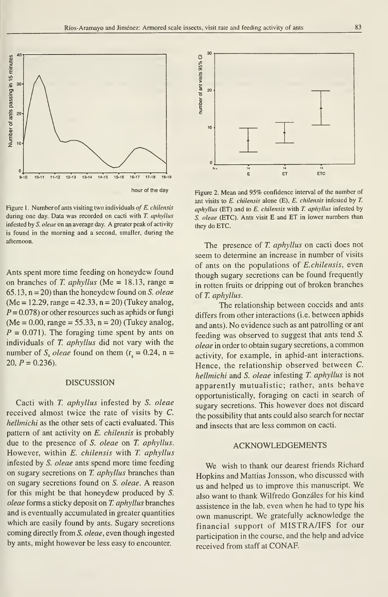

Figure 1. Number of ants visiting two individuals of  $E$ . chilensis during one day. Data was recorded on cacti with T. aphyllus infested by S. oleae on an average day. A greater peak of activity is found in the morning and a second, smaller, during the aftemoon.

Ants spent more time feeding on honeydew found on branches of T. aphyllus (Me = 18.13, range =  $65.13$ ,  $n = 20$ ) than the honeydew found on S. oleae  $(Me = 12.29, range = 42.33, n = 20)$  (Tukey analog,  $P = 0.078$ ) or other resources such as aphids or fungi  $(Me = 0.00, range = 55.33, n = 20)$  (Tukey analog,  $P = 0.071$ . The foraging time spent by ants on individuals of T. aphyllus did not vary with the number of S<sub>2</sub> oleae found on them ( $r_s = 0.24$ , n = 20,  $P = 0.236$ .

# DISCUSSION

Cacti with T. aphyllus infested by S. oleae received almost twice the rate of visits by C. hellmichi as the other sets of cacti evaluated. This pattern of ant activity on E. chilensis is probably due to the presence of S. oleae on T. aphyllus. However, within E. chilensis with T. aphyllus infested by S. oleae ants spend more time feeding on sugary secretions on T. aphyllus branches than on sugary secretions found on S. oleae. A reason for this might be that honeydew produced by S. oleae forms a sticky deposit on T. aphyllus branches and is eventually accumulated in greater quantities which are easily found by ants. Sugary secretions coming directly from S. oleae, even though ingested by ants, might however be less easy to encounter.



Figure 2. Mean and 95% confidence interval of the number of ant visits to E. chilensis alone (E), E. chilensis infested by T. aphyllus (ET) and to  $E$ . chilensis with  $T$ . aphyllus infested by S. oleae (ETC). Ants visit E and ET in lower numbers than they do ETC.

The presence of T. aphyllus on cacti does not seem to determine an increase in number of visits of ants on the populations of E.chilensis, even though sugary secretions can be found frequently in rotten fruits or dripping out of broken branches of T. aphyllus,

The relationship between coccids and ants differs from other interactions (i.e. between aphids and ants). No evidence such as ant patrolling or ant feeding was observed to suggest that ants tend S. oleae in order to obtain sugary secretions, <sup>a</sup> common activity, for example, in aphid-ant interactions. Hence, the relationship observed between C. hellmichi and S. oleae infesting T. aphyllus is not apparently mutualistic; rather, ants behave opportunistically, foraging on cacti in search of sugary secretions. This however does not discard the possibility that ants could also search for néctar and insects that are less common on cacti.

## ACKNOWLEDGEMENTS

We wish to thank our dearest friends Richard Hopkins and Mattias Jonsson, who discussed with us and helped us to improve this manuscript. We also want to thank Wilfredo Gonzáles for his kind assistence in the lab, even when he had to type his own manuscript. We gratefully acknowledge the financial support of MISTRA/IFS for our participation in the course, and the help and advice received from staff at CONAF.